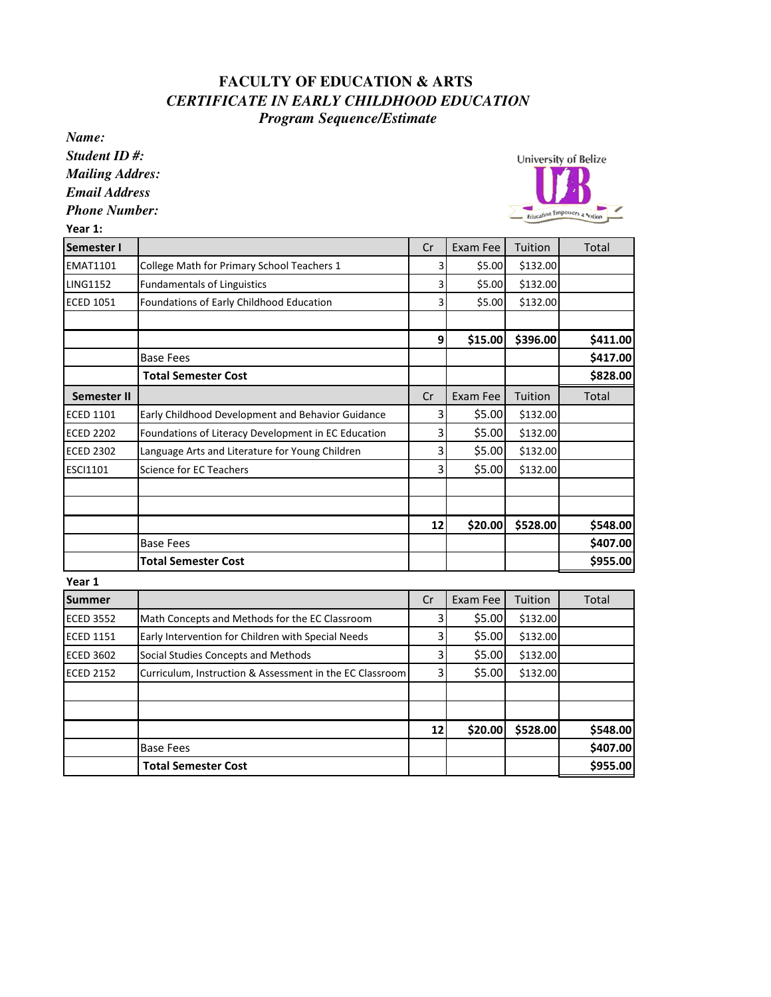## **FACULTY OF EDUCATION & ARTS**  *CERTIFICATE IN EARLY CHILDHOOD EDUCATION Program Sequence/Estimate*

*Name:*

*Student ID #: Mailing Addres:*

*Email Address*

*Phone Number:*

University of Belize Education Emporters a Nation

| Year 1:            |                                                          |    |          |          |          |
|--------------------|----------------------------------------------------------|----|----------|----------|----------|
| Semester I         |                                                          | Cr | Exam Fee | Tuition  | Total    |
| <b>EMAT1101</b>    | College Math for Primary School Teachers 1               | 3  | \$5.00   | \$132.00 |          |
| <b>LING1152</b>    | <b>Fundamentals of Linguistics</b>                       | 3  | \$5.00   | \$132.00 |          |
| <b>ECED 1051</b>   | Foundations of Early Childhood Education                 | 3  | \$5.00   | \$132.00 |          |
|                    |                                                          | 9  | \$15.00  | \$396.00 | \$411.00 |
|                    | <b>Base Fees</b>                                         |    |          |          | \$417.00 |
|                    | <b>Total Semester Cost</b>                               |    |          |          | \$828.00 |
| <b>Semester II</b> |                                                          | Cr | Exam Fee | Tuition  | Total    |
| <b>ECED 1101</b>   | Early Childhood Development and Behavior Guidance        | 3  | \$5.00   | \$132.00 |          |
| <b>ECED 2202</b>   | Foundations of Literacy Development in EC Education      | 3  | \$5.00   | \$132.00 |          |
| <b>ECED 2302</b>   | Language Arts and Literature for Young Children          | 3  | \$5.00   | \$132.00 |          |
| ESCI1101           | Science for EC Teachers                                  | 3  | \$5.00   | \$132.00 |          |
|                    |                                                          |    |          |          |          |
|                    |                                                          | 12 | \$20.00  | \$528.00 | \$548.00 |
|                    | <b>Base Fees</b>                                         |    |          |          | \$407.00 |
|                    | <b>Total Semester Cost</b>                               |    |          |          | \$955.00 |
| Year 1             |                                                          |    |          |          |          |
| <b>Summer</b>      |                                                          | Cr | Exam Fee | Tuition  | Total    |
| <b>ECED 3552</b>   | Math Concepts and Methods for the EC Classroom           | 3  | \$5.00   | \$132.00 |          |
| <b>ECED 1151</b>   | Early Intervention for Children with Special Needs       | 3  | \$5.00   | \$132.00 |          |
| <b>ECED 3602</b>   | Social Studies Concepts and Methods                      | 3  | \$5.00   | \$132.00 |          |
| <b>ECED 2152</b>   | Curriculum, Instruction & Assessment in the EC Classroom | 3  | \$5.00   | \$132.00 |          |
|                    |                                                          |    |          |          |          |
|                    |                                                          | 12 | \$20.00  | \$528.00 | \$548.00 |
|                    | <b>Base Fees</b>                                         |    |          |          | \$407.00 |
|                    | <b>Total Semester Cost</b>                               |    |          |          | \$955.00 |